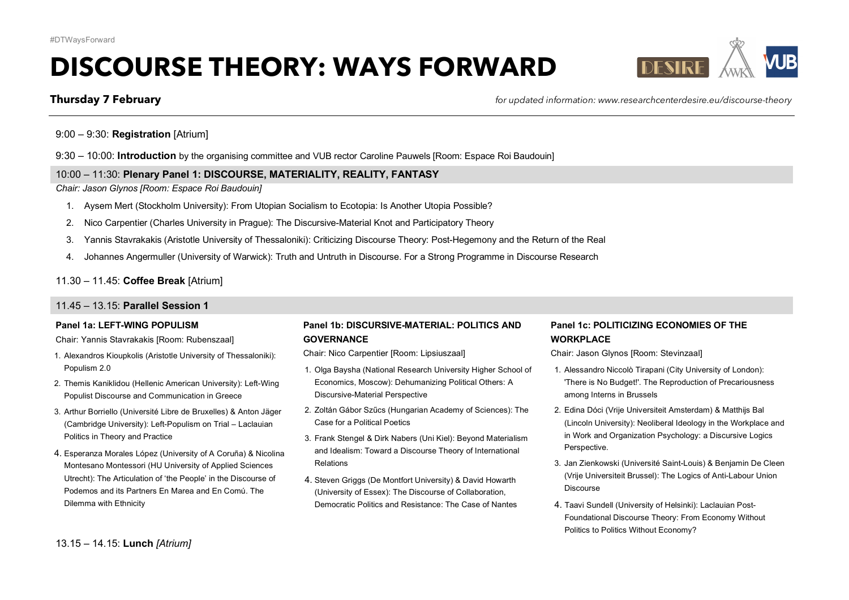# **DISCOURSE THEORY: WAYS FORWARD**



**Thursday 7 February** *for updated information: www.researchcenterdesire.eu/discourse-theory*

9:00 – 9:30: **Registration** [Atrium]

9:30 – 10:00: **Introduction** by the organising committee and VUB rector Caroline Pauwels [Room: Espace Roi Baudouin]

# 10:00 – 11:30: **Plenary Panel 1: DISCOURSE, MATERIALITY, REALITY, FANTASY**

*Chair: Jason Glynos [Room: Espace Roi Baudouin]*

- 1. Aysem Mert (Stockholm University): From Utopian Socialism to Ecotopia: Is Another Utopia Possible?
- 2. Nico Carpentier (Charles University in Prague): The Discursive-Material Knot and Participatory Theory
- 3. Yannis Stavrakakis (Aristotle University of Thessaloniki): Criticizing Discourse Theory: Post-Hegemony and the Return of the Real
- 4. Johannes Angermuller (University of Warwick): Truth and Untruth in Discourse. For a Strong Programme in Discourse Research

# 11.30 – 11.45: **Coffee Break** [Atrium]

### 11.45 – 13.15: **Parallel Session 1**

#### **Panel 1a: LEFT-WING POPULISM**

Chair: Yannis Stavrakakis [Room: Rubenszaal]

- 1. Alexandros Kioupkolis (Aristotle University of Thessaloniki): Populism 2.0
- 2. Themis Kaniklidou (Hellenic American University): Left-Wing Populist Discourse and Communication in Greece
- 3. Arthur Borriello (Université Libre de Bruxelles) & Anton Jäger (Cambridge University): Left-Populism on Trial – Laclauian Politics in Theory and Practice
- 4. Esperanza Morales López (University of A Coruña) & Nicolina Montesano Montessori (HU University of Applied Sciences Utrecht): The Articulation of 'the People' in the Discourse of Podemos and its Partners En Marea and En Comú. The Dilemma with Ethnicity

# **Panel 1b: DISCURSIVE-MATERIAL: POLITICS AND GOVERNANCE**

Chair: Nico Carpentier [Room: Lipsiuszaal]

- 1. Olga Baysha (National Research University Higher School of Economics, Moscow): Dehumanizing Political Others: A Discursive-Material Perspective
- 2. Zoltán Gábor Szűcs (Hungarian Academy of Sciences): The Case for a Political Poetics
- 3. Frank Stengel & Dirk Nabers (Uni Kiel): Beyond Materialism and Idealism: Toward a Discourse Theory of International Relations
- 4. Steven Griggs (De Montfort University) & David Howarth (University of Essex): The Discourse of Collaboration, Democratic Politics and Resistance: The Case of Nantes

# **Panel 1c: POLITICIZING ECONOMIES OF THE WORKPLACE**

Chair: Jason Glynos [Room: Stevinzaal]

- 1. Alessandro Niccolò Tirapani (City University of London): 'There is No Budget!'. The Reproduction of Precariousness among Interns in Brussels
- 2. Edina Dóci (Vrije Universiteit Amsterdam) & Matthijs Bal (Lincoln University): Neoliberal Ideology in the Workplace and in Work and Organization Psychology: a Discursive Logics Perspective.
- 3. Jan Zienkowski (Université Saint-Louis) & Benjamin De Cleen (Vrije Universiteit Brussel): The Logics of Anti-Labour Union Discourse
- 4. Taavi Sundell (University of Helsinki): Laclauian Post-Foundational Discourse Theory: From Economy Without Politics to Politics Without Economy?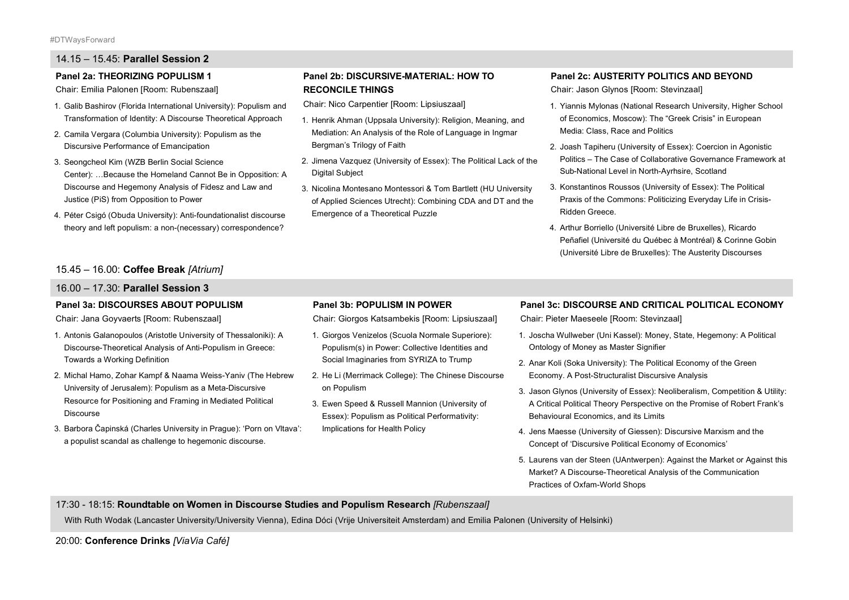# 14.15 – 15.45: **Parallel Session 2**

#### **Panel 2a: THEORIZING POPULISM 1**

Chair: Emilia Palonen [Room: Rubenszaal]

- 1. Galib Bashirov (Florida International University): Populism and Transformation of Identity: A Discourse Theoretical Approach
- 2. Camila Vergara (Columbia University): Populism as the Discursive Performance of Emancipation
- 3. Seongcheol Kim (WZB Berlin Social Science Center): …Because the Homeland Cannot Be in Opposition: A Discourse and Hegemony Analysis of Fidesz and Law and Justice (PiS) from Opposition to Power
- 4. Péter Csigó (Obuda University): Anti-foundationalist discourse theory and left populism: a non-(necessary) correspondence?

# 15.45 – 16.00: **Coffee Break** *[Atrium]*

#### 16.00 – 17.30: **Parallel Session 3**

#### **Panel 3a: DISCOURSES ABOUT POPULISM**

Chair: Jana Goyvaerts [Room: Rubenszaal]

- 1. Antonis Galanopoulos (Aristotle University of Thessaloniki): A Discourse-Theoretical Analysis of Anti-Populism in Greece: Towards a Working Definition
- 2. Michal Hamo, Zohar Kampf & Naama Weiss-Yaniv (The Hebrew University of Jerusalem): Populism as a Meta-Discursive Resource for Positioning and Framing in Mediated Political Discourse
- 3. Barbora Čapinská (Charles University in Prague): 'Porn on Vltava': a populist scandal as challenge to hegemonic discourse.

### **Panel 2b: DISCURSIVE-MATERIAL: HOW TO RECONCILE THINGS**

Chair: Nico Carpentier [Room: Lipsiuszaal]

- 1. Henrik Ahman (Uppsala University): Religion, Meaning, and Mediation: An Analysis of the Role of Language in Ingmar Bergman's Trilogy of Faith
- 2. Jimena Vazquez (University of Essex): The Political Lack of the Digital Subject
- 3. Nicolina Montesano Montessori & Tom Bartlett (HU University of Applied Sciences Utrecht): Combining CDA and DT and the Emergence of a Theoretical Puzzle

#### **Panel 2c: AUSTERITY POLITICS AND BEYOND**

Chair: Jason Glynos [Room: Stevinzaal]

- 1. Yiannis Mylonas (National Research University, Higher School of Economics, Moscow): The "Greek Crisis" in European Media: Class, Race and Politics
- 2. Joash Tapiheru (University of Essex): Coercion in Agonistic Politics – The Case of Collaborative Governance Framework at Sub-National Level in North-Ayrhsire, Scotland
- 3. Konstantinos Roussos (University of Essex): The Political Praxis of the Commons: Politicizing Everyday Life in Crisis-Ridden Greece.
- 4. Arthur Borriello (Université Libre de Bruxelles), Ricardo Peñafiel (Université du Québec à Montréal) & Corinne Gobin (Université Libre de Bruxelles): The Austerity Discourses

#### **Panel 3b: POPULISM IN POWER**

Chair: Giorgos Katsambekis [Room: Lipsiuszaal]

- 1. Giorgos Venizelos (Scuola Normale Superiore): Populism(s) in Power: Collective Identities and Social Imaginaries from SYRIZA to Trump
- 2. He Li (Merrimack College): The Chinese Discourse on Populism
- 3. Ewen Speed & Russell Mannion (University of Essex): Populism as Political Performativity: Implications for Health Policy

#### **Panel 3c: DISCOURSE AND CRITICAL POLITICAL ECONOMY**

Chair: Pieter Maeseele [Room: Stevinzaal]

- 1. Joscha Wullweber (Uni Kassel): Money, State, Hegemony: A Political Ontology of Money as Master Signifier
- 2. Anar Koli (Soka University): The Political Economy of the Green Economy. A Post-Structuralist Discursive Analysis
- 3. Jason Glynos (University of Essex): Neoliberalism, Competition & Utility: A Critical Political Theory Perspective on the Promise of Robert Frank's Behavioural Economics, and its Limits
- 4. Jens Maesse (University of Giessen): Discursive Marxism and the Concept of 'Discursive Political Economy of Economics'
- 5. Laurens van der Steen (UAntwerpen): Against the Market or Against this Market? A Discourse-Theoretical Analysis of the Communication Practices of Oxfam-World Shops

17:30 - 18:15: **Roundtable on Women in Discourse Studies and Populism Research** *[Rubenszaal]*

With Ruth Wodak (Lancaster University/University Vienna), Edina Dóci (Vrije Universiteit Amsterdam) and Emilia Palonen (University of Helsinki)

20:00: **Conference Drinks** *[ViaVia Café]*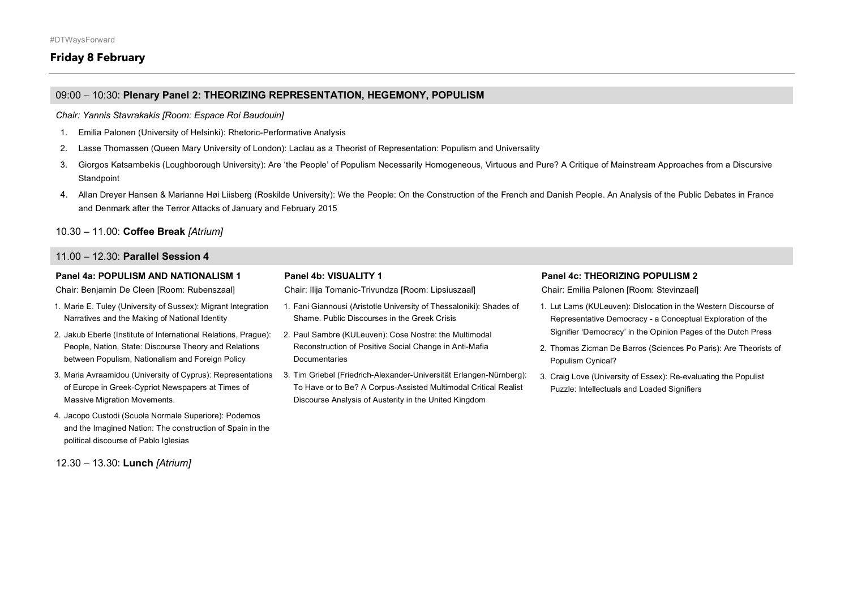# **Friday 8 February**

# 09:00 – 10:30: **Plenary Panel 2: THEORIZING REPRESENTATION, HEGEMONY, POPULISM**

*Chair: Yannis Stavrakakis [Room: Espace Roi Baudouin]*

- 1. Emilia Palonen (University of Helsinki): Rhetoric-Performative Analysis
- 2. Lasse Thomassen (Queen Mary University of London): Laclau as a Theorist of Representation: Populism and Universality
- 3. Giorgos Katsambekis (Loughborough University): Are 'the People' of Populism Necessarily Homogeneous, Virtuous and Pure? A Critique of Mainstream Approaches from a Discursive **Standpoint**
- 4. Allan Dreyer Hansen & Marianne Høi Liisberg (Roskilde University): We the People: On the Construction of the French and Danish People. An Analysis of the Public Debates in France and Denmark after the Terror Attacks of January and February 2015

#### 10.30 – 11.00: **Coffee Break** *[Atrium]*

#### 11.00 – 12.30: **Parallel Session 4**

#### **Panel 4a: POPULISM AND NATIONALISM 1**

Chair: Benjamin De Cleen [Room: Rubenszaal]

- 1. Marie E. Tuley (University of Sussex): Migrant Integration Narratives and the Making of National Identity
- 2. Jakub Eberle (Institute of International Relations, Prague): People, Nation, State: Discourse Theory and Relations between Populism, Nationalism and Foreign Policy
- 3. Maria Avraamidou (University of Cyprus): Representations of Europe in Greek-Cypriot Newspapers at Times of Massive Migration Movements.
- 4. Jacopo Custodi (Scuola Normale Superiore): Podemos and the Imagined Nation: The construction of Spain in the political discourse of Pablo Iglesias

12.30 – 13.30: **Lunch** *[Atrium]*

### **Panel 4b: VISUALITY 1**

Chair: Ilija Tomanic-Trivundza [Room: Lipsiuszaal]

- 1. Fani Giannousi (Aristotle University of Thessaloniki): Shades of Shame. Public Discourses in the Greek Crisis
- 2. Paul Sambre (KULeuven): Cose Nostre: the Multimodal Reconstruction of Positive Social Change in Anti-Mafia Documentaries
- 3. Tim Griebel (Friedrich-Alexander-Universität Erlangen-Nürnberg): To Have or to Be? A Corpus-Assisted Multimodal Critical Realist Discourse Analysis of Austerity in the United Kingdom

#### **Panel 4c: THEORIZING POPULISM 2**

Chair: Emilia Palonen [Room: Stevinzaal]

- 1. Lut Lams (KULeuven): Dislocation in the Western Discourse of Representative Democracy - a Conceptual Exploration of the Signifier 'Democracy' in the Opinion Pages of the Dutch Press
- 2. Thomas Zicman De Barros (Sciences Po Paris): Are Theorists of Populism Cynical?
- 3. Craig Love (University of Essex): Re-evaluating the Populist Puzzle: Intellectuals and Loaded Signifiers